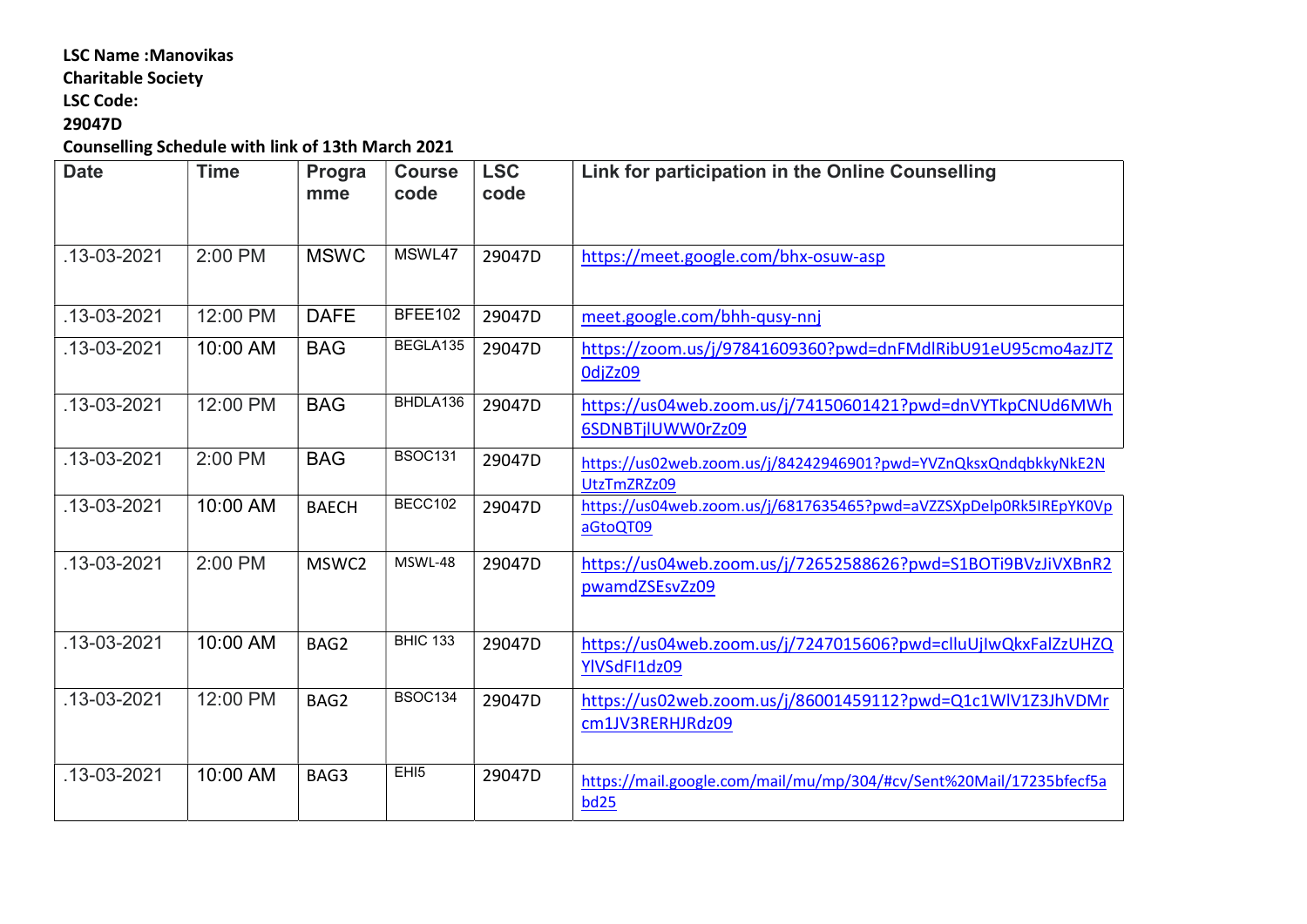#### LSC Name :Manovikas

## Charitable Society

LSC Code:

## 29047D

Counselling Schedule with link of 13th March 2021

| <b>Date</b>       | <b>Time</b> | Progra<br>mme | <b>Course</b><br>code | <b>LSC</b><br>code | Link for participation in the Online Counselling                               |
|-------------------|-------------|---------------|-----------------------|--------------------|--------------------------------------------------------------------------------|
|                   |             |               |                       |                    |                                                                                |
| $.13 - 03 - 2021$ | 2:00 PM     | <b>MSWC</b>   | MSWL47                | 29047D             | https://meet.google.com/bhx-osuw-asp                                           |
| $.13 - 03 - 2021$ | 12:00 PM    | <b>DAFE</b>   | BFEE102               | 29047D             | meet.google.com/bhh-qusy-nnj                                                   |
| .13-03-2021       | 10:00 AM    | <b>BAG</b>    | BEGLA135              | 29047D             | https://zoom.us/j/97841609360?pwd=dnFMdlRibU91eU95cmo4azJTZ<br>OdjZz09         |
| .13-03-2021       | 12:00 PM    | <b>BAG</b>    | BHDLA136              | 29047D             | https://us04web.zoom.us/j/74150601421?pwd=dnVYTkpCNUd6MWh<br>6SDNBTjlUWW0rZz09 |
| .13-03-2021       | 2:00 PM     | <b>BAG</b>    | <b>BSOC131</b>        | 29047D             | https://us02web.zoom.us/j/84242946901?pwd=YVZnQksxQndqbkkyNkE2N<br>UtzTmZRZz09 |
| $.13 - 03 - 2021$ | 10:00 AM    | <b>BAECH</b>  | <b>BECC102</b>        | 29047D             | https://us04web.zoom.us/j/6817635465?pwd=aVZZSXpDelp0Rk5IREpYK0Vp<br>aGtoQT09  |
| .13-03-2021       | 2:00 PM     | MSWC2         | MSWL-48               | 29047D             | https://us04web.zoom.us/j/72652588626?pwd=S1BOTi9BVzJiVXBnR2<br>pwamdZSEsvZz09 |
| .13-03-2021       | 10:00 AM    | BAG2          | <b>BHIC 133</b>       | 29047D             | https://us04web.zoom.us/j/7247015606?pwd=clluUjIwQkxFalZzUHZQ<br>YlVSdFI1dz09  |
| .13-03-2021       | 12:00 PM    | BAG2          | <b>BSOC134</b>        | 29047D             | https://us02web.zoom.us/j/86001459112?pwd=Q1c1WlV1Z3JhVDMr<br>cm1JV3RERHJRdz09 |
| .13-03-2021       | 10:00 AM    | BAG3          | EHI5                  | 29047D             | https://mail.google.com/mail/mu/mp/304/#cv/Sent%20Mail/17235bfecf5a<br>bd25    |